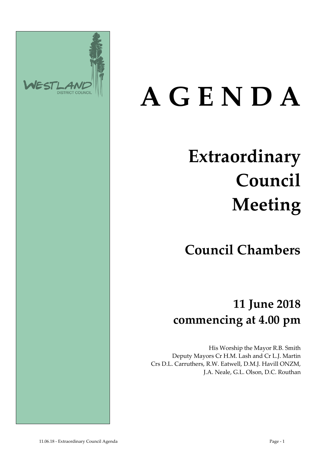

# **A G E N D A**

## **Extraordinary Council Meeting**

**Council Chambers**

**11 June 2018 commencing at 4.00 pm**

His Worship the Mayor R.B. Smith Deputy Mayors Cr H.M. Lash and Cr L.J. Martin Crs D.L. Carruthers, R.W. Eatwell, D.M.J. Havill ONZM, J.A. Neale, G.L. Olson, D.C. Routhan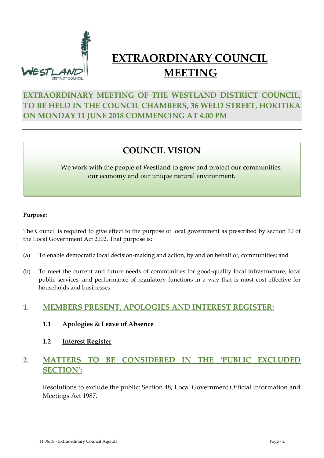

### **EXTRAORDINARY COUNCIL MEETING**

#### **EXTRAORDINARY MEETING OF THE WESTLAND DISTRICT COUNCIL, TO BE HELD IN THE COUNCIL CHAMBERS, 36 WELD STREET, HOKITIKA ON MONDAY 11 JUNE 2018 COMMENCING AT 4.00 PM**

#### **COUNCIL VISION**

#### We work with the people of Westland to grow and protect our communities, our economy and our unique natural environment.

#### **Purpose:**

The Council is required to give effect to the purpose of local government as prescribed by section 10 of the Local Government Act 2002. That purpose is:

- (a) To enable democratic local decision-making and action, by and on behalf of, communities; and
- (b) To meet the current and future needs of communities for good-quality local infrastructure, local public services, and performance of regulatory functions in a way that is most cost-effective for households and businesses.

#### **1. MEMBERS PRESENT, APOLOGIES AND INTEREST REGISTER:**

- **1.1 Apologies & Leave of Absence**
- **1.2 Interest Register**

#### **2. MATTERS TO BE CONSIDERED IN THE 'PUBLIC EXCLUDED SECTION':**

Resolutions to exclude the public: Section 48, Local Government Official Information and Meetings Act 1987.